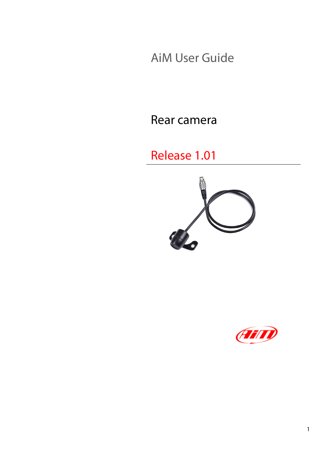AiM User Guide

Rear camera

Release 1.01



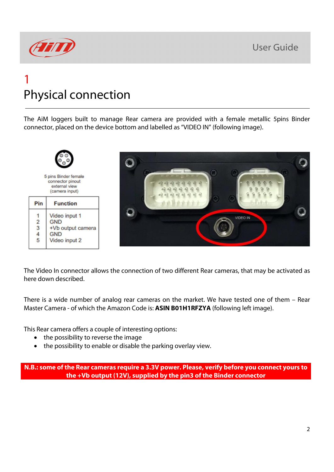

## 1 Physical connection

The AiM loggers built to manage Rear camera are provided with a female metallic 5pins Binder connector, placed on the device bottom and labelled as "VIDEO IN" (following image).



The Video In connector allows the connection of two different Rear cameras, that may be activated as here down described.

There is a wide number of analog rear cameras on the market. We have tested one of them – Rear Master Camera - of which the Amazon Code is: **ASIN B01H1RFZYA** (following left image).

This Rear camera offers a couple of interesting options:

- the possibility to reverse the image
- the possibility to enable or disable the parking overlay view.

**N.B.: some of the Rear cameras require a 3.3V power. Please, verify before you connect yours to the +Vb output (12V), supplied by the pin3 of the Binder connector**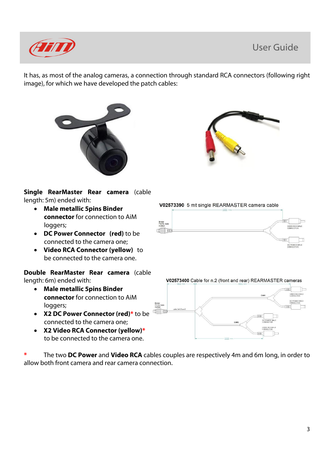#### User Guide



It has, as most of the analog cameras, a connection through standard RCA connectors (following right image), for which we have developed the patch cables:





**Single RearMaster Rear camera** (cable length: 5m) ended with:

- **Male metallic 5pins Binder connector** for connection to AiM loggers;
- **DC Power Connector (red)** to be connected to the camera one;
- **Video RCA Connector (yellow)** to be connected to the camera one.

**Double RearMaster Rear camera** (cable length: 6m) ended with:

- **Male metallic 5pins Binder connector** for connection to AiM loggers;
- **X2 DC Power Connector (red)\*** to be connected to the camera one;
- **X2 Video RCA Connector (yellow)\*** to be connected to the camera one.

**\*** The two **DC Power** and **Video RCA** cables couples are respectively 4m and 6m long, in order to allow both front camera and rear camera connection.

V02573390 5 mt single REARMASTER camera cable



V02573400 Cable for n.2 (front and rear) REARMASTER cameras

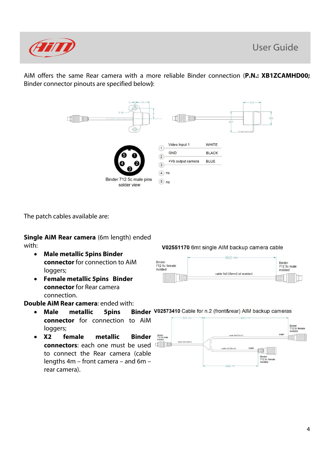

AiM offers the same Rear camera with a more reliable Binder connection (**P.N.: XB1ZCAMHD00;** Binder connector pinouts are specified below**)**:



The patch cables available are:

**Single AiM Rear camera** (6m length) ended with:

- **Male metallic 5pins Binder connector** for connection to AiM loggers;
- **Female metallic 5pins Binder connector** for Rear camera connection.

- Male metallic 5pins **connector** for connection to AiM loggers;
- **X2 female metallic Binder connectors**: each one must be used to connect the Rear camera (cable lengths 4m – front camera – and 6m – rear camera).

V02551170 6mt single AIM backup camera cable



### **Double AiM Rear camera:** ended with:<br>**a Male metallic 5pins Binder V02573410** Cable for n.2 (front&rear) AIM backup cameras

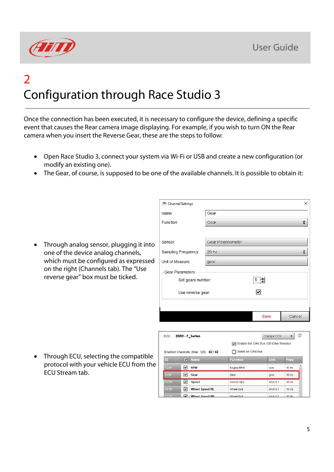

# 2 Configuration through Race Studio 3

Once the connection has been executed, it is necessary to configure the device, defining a specific event that causes the Rear camera image displaying. For example, if you wish to turn ON the Rear camera when you insert the Reverse Gear, these are the steps to follow:

- Open Race Studio 3, connect your system via Wi-Fi or USB and create a new configuration (or modify an existing one).
- The Gear, of course, is supposed to be one of the available channels. It is possible to obtain it:

• Through analog sensor, plugging it into one of the device analog channels, which must be configured as expressed on the right (Channels tab). The "Use reverse gear" box must be ticked.

| Channel Settings       |                           |      | $\times$ |  |  |
|------------------------|---------------------------|------|----------|--|--|
| Name                   | Gear                      |      |          |  |  |
| Function               | Gear                      |      |          |  |  |
| Sensor                 | <b>Gear Potentiometer</b> |      |          |  |  |
| Sampling Frequency     | 20 Hz                     |      |          |  |  |
| Unit of Measure        | gear                      |      |          |  |  |
| <b>Gear Parameters</b> |                           |      |          |  |  |
| Set gears number:      |                           | 5    |          |  |  |
| Use reverse gear       |                           |      |          |  |  |
|                        |                           |      |          |  |  |
|                        |                           | Save | Cancel   |  |  |

• Through ECU, selecting the compatible protocol with your vehicle ECU from the ECU Stream tab.

| <b>FCU</b>        | <b>BMW-F Series</b> |                                     |                                                            | Change ECU   | $\div$           | ⊘ |
|-------------------|---------------------|-------------------------------------|------------------------------------------------------------|--------------|------------------|---|
|                   |                     | Enabled Channels (Max. 120) 42 / 42 | T Enable the CAN Bus 120 Ohm Resistor<br>Silent on CAN Bus |              |                  |   |
| $\Box$            | ▿                   | <b>Name</b>                         | <b>Function</b>                                            | Unit         | Freq             |   |
| CC <sub>01</sub>  | ⊻                   | <b>RPM</b>                          | Engine RPM                                                 | rpm          | 10 Hz            |   |
| CC <sub>07</sub>  | M                   | Gear                                | Gear                                                       | gear         | 10 Hz            |   |
| CC14              | V                   | <b>Speed</b>                        | Vehicle Spd                                                | km/h 0.1     | 10 Hz            |   |
| <b>CC18</b>       | V                   | <b>Wheel Speed RL</b>               | Wheel Spd                                                  | $km/h$ 0.1   | 10 Hz            |   |
| C <sub>C</sub> 19 | v                   | Wheel Speed RR                      | <b>Mheel Snd</b>                                           | $km/h$ $0.1$ | 10H <sub>7</sub> |   |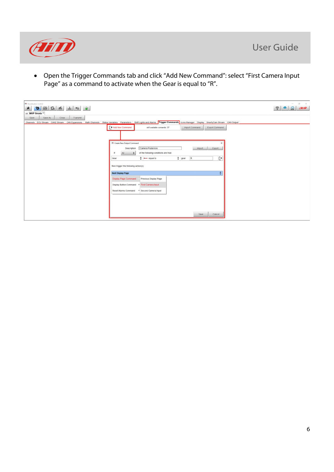

• Open the Trigger Commands tab and click "Add New Command": select "First Camera Input Page" as a command to activate when the Gear is equal to "R".

| $\Box$<br>$\times$<br>RaceStudio3 3.24.02<br>$\frac{1}{2} \left( \frac{1}{2} \right) \left( \frac{1}{2} \right) \left( \frac{1}{2} \right)$<br>$\bullet$<br>$\begin{array}{ c c c c c }\hline \textbf{3} & \textbf{4} & \textbf{4} & \textbf{5} \\ \hline \textbf{5} & \textbf{4} & \textbf{5} & \textbf{6} & \textbf{7} \\ \hline \textbf{6} & \textbf{6} & \textbf{7} & \textbf{8} & \textbf{10} \\ \hline \textbf{7} & \textbf{8} & \textbf{10} & \textbf{10} & \textbf{10} & \textbf{10} \\ \hline \textbf{8} & \textbf{10} & \textbf{10} & \textbf{10} & \textbf{10} & \textbf{1$<br>$\widehat{\gamma}$<br><u>င</u> ္လ<br><b>ELLE</b><br>$\ast$<br>$\ddot{=}$<br>$\bullet$<br>All MXP Strada <sup>36</sup><br>Save As<br>Close<br>Save<br>Transmit<br>Channels ECU Stream CAN2 Stream CAN Expansions Math Channels Status Variables Parameters Shift Lights and Alarms Trigger Commands Icons Manager Display SmartyCam Stream CAN Output<br>Add New Command<br>still available comands: 37<br>Export Command<br>Import Command<br><b>ER</b> Create New Output Command<br>Camera Posteriore<br>Description<br>Import<br>Export<br>of the following conditions are true:<br>All<br>Ŀ<br>$\div$ gear<br>$\div$ $\bullet$ = $\leftarrow$ equal to<br>R<br>Gear<br>then trigger the following action(s):<br>$\blacktriangle$<br><b>Next Display Page</b><br>۰<br><b>Display Page Command</b><br>Previous Display Page<br>Display Button Command > First Camera Input<br>Reset Alarms Command > Second Camera Input<br>Save<br>Cancel |  |  |
|---------------------------------------------------------------------------------------------------------------------------------------------------------------------------------------------------------------------------------------------------------------------------------------------------------------------------------------------------------------------------------------------------------------------------------------------------------------------------------------------------------------------------------------------------------------------------------------------------------------------------------------------------------------------------------------------------------------------------------------------------------------------------------------------------------------------------------------------------------------------------------------------------------------------------------------------------------------------------------------------------------------------------------------------------------------------------------------------------------------------------------------------------------------------------------------------------------------------------------------------------------------------------------------------------------------------------------------------------------------------------------------------------------------------------------------------------------------------------------------------------------------------------------------|--|--|
|                                                                                                                                                                                                                                                                                                                                                                                                                                                                                                                                                                                                                                                                                                                                                                                                                                                                                                                                                                                                                                                                                                                                                                                                                                                                                                                                                                                                                                                                                                                                       |  |  |
|                                                                                                                                                                                                                                                                                                                                                                                                                                                                                                                                                                                                                                                                                                                                                                                                                                                                                                                                                                                                                                                                                                                                                                                                                                                                                                                                                                                                                                                                                                                                       |  |  |
|                                                                                                                                                                                                                                                                                                                                                                                                                                                                                                                                                                                                                                                                                                                                                                                                                                                                                                                                                                                                                                                                                                                                                                                                                                                                                                                                                                                                                                                                                                                                       |  |  |
|                                                                                                                                                                                                                                                                                                                                                                                                                                                                                                                                                                                                                                                                                                                                                                                                                                                                                                                                                                                                                                                                                                                                                                                                                                                                                                                                                                                                                                                                                                                                       |  |  |
|                                                                                                                                                                                                                                                                                                                                                                                                                                                                                                                                                                                                                                                                                                                                                                                                                                                                                                                                                                                                                                                                                                                                                                                                                                                                                                                                                                                                                                                                                                                                       |  |  |
|                                                                                                                                                                                                                                                                                                                                                                                                                                                                                                                                                                                                                                                                                                                                                                                                                                                                                                                                                                                                                                                                                                                                                                                                                                                                                                                                                                                                                                                                                                                                       |  |  |
|                                                                                                                                                                                                                                                                                                                                                                                                                                                                                                                                                                                                                                                                                                                                                                                                                                                                                                                                                                                                                                                                                                                                                                                                                                                                                                                                                                                                                                                                                                                                       |  |  |
|                                                                                                                                                                                                                                                                                                                                                                                                                                                                                                                                                                                                                                                                                                                                                                                                                                                                                                                                                                                                                                                                                                                                                                                                                                                                                                                                                                                                                                                                                                                                       |  |  |
|                                                                                                                                                                                                                                                                                                                                                                                                                                                                                                                                                                                                                                                                                                                                                                                                                                                                                                                                                                                                                                                                                                                                                                                                                                                                                                                                                                                                                                                                                                                                       |  |  |
|                                                                                                                                                                                                                                                                                                                                                                                                                                                                                                                                                                                                                                                                                                                                                                                                                                                                                                                                                                                                                                                                                                                                                                                                                                                                                                                                                                                                                                                                                                                                       |  |  |
|                                                                                                                                                                                                                                                                                                                                                                                                                                                                                                                                                                                                                                                                                                                                                                                                                                                                                                                                                                                                                                                                                                                                                                                                                                                                                                                                                                                                                                                                                                                                       |  |  |
|                                                                                                                                                                                                                                                                                                                                                                                                                                                                                                                                                                                                                                                                                                                                                                                                                                                                                                                                                                                                                                                                                                                                                                                                                                                                                                                                                                                                                                                                                                                                       |  |  |
|                                                                                                                                                                                                                                                                                                                                                                                                                                                                                                                                                                                                                                                                                                                                                                                                                                                                                                                                                                                                                                                                                                                                                                                                                                                                                                                                                                                                                                                                                                                                       |  |  |
|                                                                                                                                                                                                                                                                                                                                                                                                                                                                                                                                                                                                                                                                                                                                                                                                                                                                                                                                                                                                                                                                                                                                                                                                                                                                                                                                                                                                                                                                                                                                       |  |  |
|                                                                                                                                                                                                                                                                                                                                                                                                                                                                                                                                                                                                                                                                                                                                                                                                                                                                                                                                                                                                                                                                                                                                                                                                                                                                                                                                                                                                                                                                                                                                       |  |  |
|                                                                                                                                                                                                                                                                                                                                                                                                                                                                                                                                                                                                                                                                                                                                                                                                                                                                                                                                                                                                                                                                                                                                                                                                                                                                                                                                                                                                                                                                                                                                       |  |  |
|                                                                                                                                                                                                                                                                                                                                                                                                                                                                                                                                                                                                                                                                                                                                                                                                                                                                                                                                                                                                                                                                                                                                                                                                                                                                                                                                                                                                                                                                                                                                       |  |  |
|                                                                                                                                                                                                                                                                                                                                                                                                                                                                                                                                                                                                                                                                                                                                                                                                                                                                                                                                                                                                                                                                                                                                                                                                                                                                                                                                                                                                                                                                                                                                       |  |  |
|                                                                                                                                                                                                                                                                                                                                                                                                                                                                                                                                                                                                                                                                                                                                                                                                                                                                                                                                                                                                                                                                                                                                                                                                                                                                                                                                                                                                                                                                                                                                       |  |  |